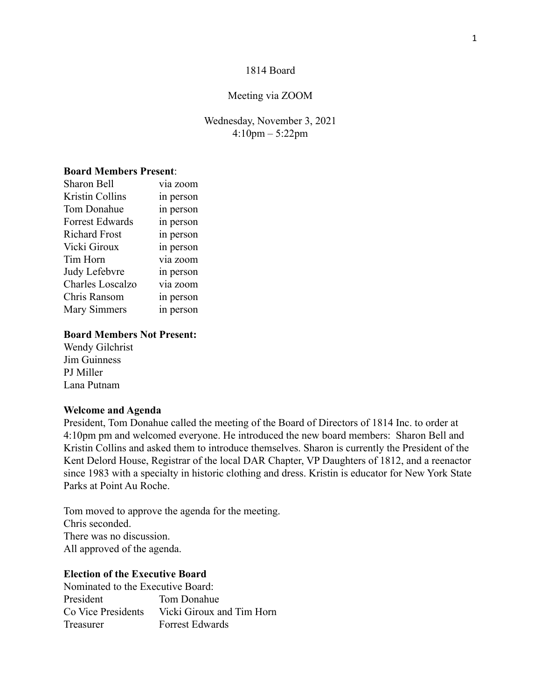### 1814 Board

#### Meeting via ZOOM

## Wednesday, November 3, 2021 4:10pm – 5:22pm

# **Board Members Present**:

| <b>Sharon Bell</b>      | via zoom  |
|-------------------------|-----------|
| <b>Kristin Collins</b>  | in person |
| Tom Donahue             | in person |
| <b>Forrest Edwards</b>  | in person |
| <b>Richard Frost</b>    | in person |
| Vicki Giroux            | in person |
| Tim Horn                | via zoom  |
| Judy Lefebvre           | in person |
| <b>Charles Loscalzo</b> | via zoom  |
| Chris Ransom            | in person |
| <b>Mary Simmers</b>     | in person |
|                         |           |

#### **Board Members Not Present:**

Wendy Gilchrist Jim Guinness PJ Miller Lana Putnam

#### **Welcome and Agenda**

President, Tom Donahue called the meeting of the Board of Directors of 1814 Inc. to order at 4:10pm pm and welcomed everyone. He introduced the new board members: Sharon Bell and Kristin Collins and asked them to introduce themselves. Sharon is currently the President of the Kent Delord House, Registrar of the local DAR Chapter, VP Daughters of 1812, and a reenactor since 1983 with a specialty in historic clothing and dress. Kristin is educator for New York State Parks at Point Au Roche.

Tom moved to approve the agenda for the meeting. Chris seconded. There was no discussion. All approved of the agenda.

# **Election of the Executive Board**

Nominated to the Executive Board: President Tom Donahue Co Vice Presidents Vicki Giroux and Tim Horn Treasurer Forrest Edwards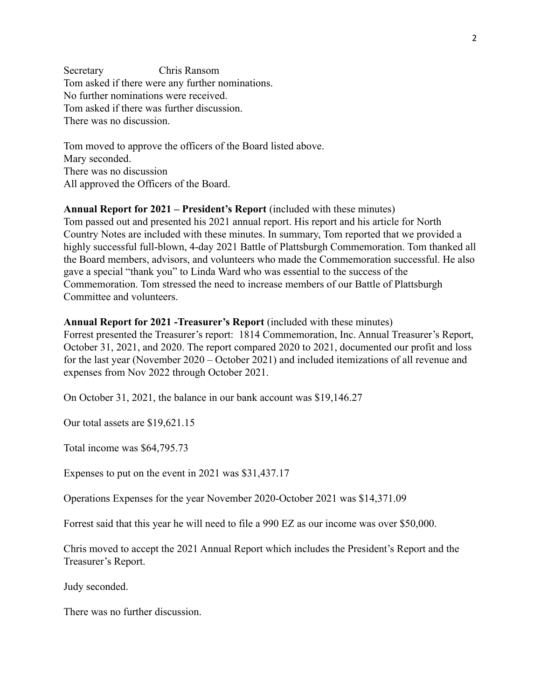Secretary Chris Ransom Tom asked if there were any further nominations. No further nominations were received. Tom asked if there was further discussion. There was no discussion.

Tom moved to approve the officers of the Board listed above. Mary seconded. There was no discussion All approved the Officers of the Board.

# **Annual Report for 2021 – President's Report** (included with these minutes)

Tom passed out and presented his 2021 annual report. His report and his article for North Country Notes are included with these minutes. In summary, Tom reported that we provided a highly successful full-blown, 4-day 2021 Battle of Plattsburgh Commemoration. Tom thanked all the Board members, advisors, and volunteers who made the Commemoration successful. He also gave a special "thank you" to Linda Ward who was essential to the success of the Commemoration. Tom stressed the need to increase members of our Battle of Plattsburgh Committee and volunteers.

## **Annual Report for 2021 -Treasurer's Report** (included with these minutes)

Forrest presented the Treasurer's report: 1814 Commemoration, Inc. Annual Treasurer's Report, October 31, 2021, and 2020. The report compared 2020 to 2021, documented our profit and loss for the last year (November 2020 – October 2021) and included itemizations of all revenue and expenses from Nov 2022 through October 2021.

On October 31, 2021, the balance in our bank account was \$19,146.27

Our total assets are \$19,621.15

Total income was \$64,795.73

Expenses to put on the event in 2021 was \$31,437.17

Operations Expenses for the year November 2020-October 2021 was \$14,371.09

Forrest said that this year he will need to file a 990 EZ as our income was over \$50,000.

Chris moved to accept the 2021 Annual Report which includes the President's Report and the Treasurer's Report.

Judy seconded.

There was no further discussion.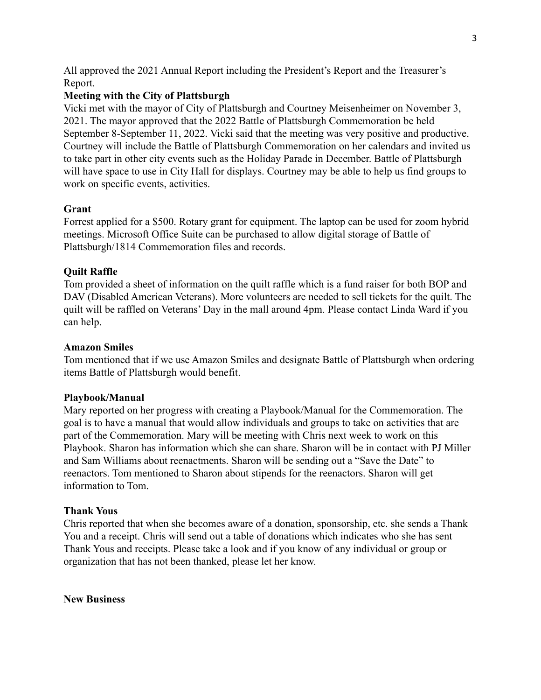All approved the 2021 Annual Report including the President's Report and the Treasurer's Report.

# **Meeting with the City of Plattsburgh**

Vicki met with the mayor of City of Plattsburgh and Courtney Meisenheimer on November 3, 2021. The mayor approved that the 2022 Battle of Plattsburgh Commemoration be held September 8-September 11, 2022. Vicki said that the meeting was very positive and productive. Courtney will include the Battle of Plattsburgh Commemoration on her calendars and invited us to take part in other city events such as the Holiday Parade in December. Battle of Plattsburgh will have space to use in City Hall for displays. Courtney may be able to help us find groups to work on specific events, activities.

## **Grant**

Forrest applied for a \$500. Rotary grant for equipment. The laptop can be used for zoom hybrid meetings. Microsoft Office Suite can be purchased to allow digital storage of Battle of Plattsburgh/1814 Commemoration files and records.

## **Quilt Raffle**

Tom provided a sheet of information on the quilt raffle which is a fund raiser for both BOP and DAV (Disabled American Veterans). More volunteers are needed to sell tickets for the quilt. The quilt will be raffled on Veterans' Day in the mall around 4pm. Please contact Linda Ward if you can help.

### **Amazon Smiles**

Tom mentioned that if we use Amazon Smiles and designate Battle of Plattsburgh when ordering items Battle of Plattsburgh would benefit.

### **Playbook/Manual**

Mary reported on her progress with creating a Playbook/Manual for the Commemoration. The goal is to have a manual that would allow individuals and groups to take on activities that are part of the Commemoration. Mary will be meeting with Chris next week to work on this Playbook. Sharon has information which she can share. Sharon will be in contact with PJ Miller and Sam Williams about reenactments. Sharon will be sending out a "Save the Date" to reenactors. Tom mentioned to Sharon about stipends for the reenactors. Sharon will get information to Tom.

### **Thank Yous**

Chris reported that when she becomes aware of a donation, sponsorship, etc. she sends a Thank You and a receipt. Chris will send out a table of donations which indicates who she has sent Thank Yous and receipts. Please take a look and if you know of any individual or group or organization that has not been thanked, please let her know.

## **New Business**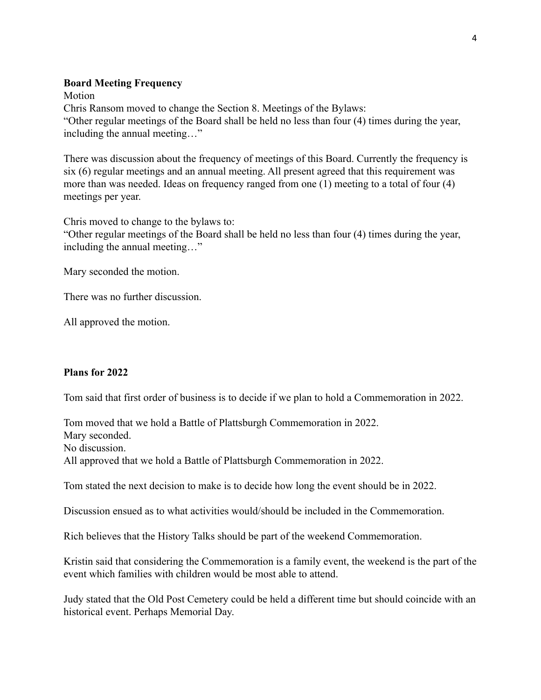## **Board Meeting Frequency**

Motion

Chris Ransom moved to change the Section 8. Meetings of the Bylaws: "Other regular meetings of the Board shall be held no less than four (4) times during the year, including the annual meeting…"

There was discussion about the frequency of meetings of this Board. Currently the frequency is six (6) regular meetings and an annual meeting. All present agreed that this requirement was more than was needed. Ideas on frequency ranged from one (1) meeting to a total of four (4) meetings per year.

Chris moved to change to the bylaws to:

"Other regular meetings of the Board shall be held no less than four (4) times during the year, including the annual meeting…"

Mary seconded the motion.

There was no further discussion.

All approved the motion.

# **Plans for 2022**

Tom said that first order of business is to decide if we plan to hold a Commemoration in 2022.

Tom moved that we hold a Battle of Plattsburgh Commemoration in 2022. Mary seconded. No discussion. All approved that we hold a Battle of Plattsburgh Commemoration in 2022.

Tom stated the next decision to make is to decide how long the event should be in 2022.

Discussion ensued as to what activities would/should be included in the Commemoration.

Rich believes that the History Talks should be part of the weekend Commemoration.

Kristin said that considering the Commemoration is a family event, the weekend is the part of the event which families with children would be most able to attend.

Judy stated that the Old Post Cemetery could be held a different time but should coincide with an historical event. Perhaps Memorial Day.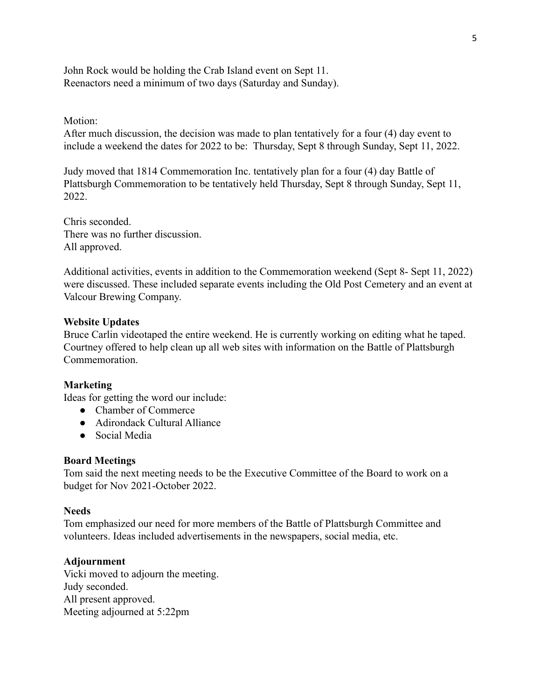John Rock would be holding the Crab Island event on Sept 11. Reenactors need a minimum of two days (Saturday and Sunday).

### Motion:

After much discussion, the decision was made to plan tentatively for a four (4) day event to include a weekend the dates for 2022 to be: Thursday, Sept 8 through Sunday, Sept 11, 2022.

Judy moved that 1814 Commemoration Inc. tentatively plan for a four (4) day Battle of Plattsburgh Commemoration to be tentatively held Thursday, Sept 8 through Sunday, Sept 11, 2022.

Chris seconded. There was no further discussion. All approved.

Additional activities, events in addition to the Commemoration weekend (Sept 8- Sept 11, 2022) were discussed. These included separate events including the Old Post Cemetery and an event at Valcour Brewing Company.

## **Website Updates**

Bruce Carlin videotaped the entire weekend. He is currently working on editing what he taped. Courtney offered to help clean up all web sites with information on the Battle of Plattsburgh **Commemoration** 

# **Marketing**

Ideas for getting the word our include:

- Chamber of Commerce
- Adirondack Cultural Alliance
- Social Media

### **Board Meetings**

Tom said the next meeting needs to be the Executive Committee of the Board to work on a budget for Nov 2021-October 2022.

### **Needs**

Tom emphasized our need for more members of the Battle of Plattsburgh Committee and volunteers. Ideas included advertisements in the newspapers, social media, etc.

# **Adjournment**

Vicki moved to adjourn the meeting. Judy seconded. All present approved. Meeting adjourned at 5:22pm